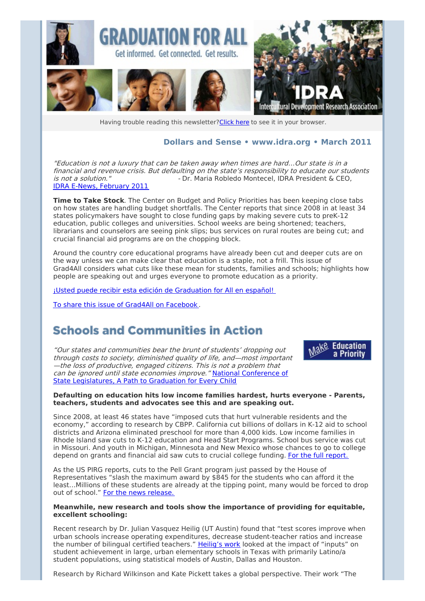

Having trouble reading this newsletter? Click here to see it in your browser.

### **Dollars and Sense • [www.idra.org](http://newsletter.impulsedevelopment.com/t/1/l/jlyudkt/l/www.idra.org) • March 2011**

"Education is not <sup>a</sup> luxury that can be taken away when times are hard…Our state is in <sup>a</sup> financial and revenue crisis. But defaulting on the state's responsibility to educate our students<br>is not a solution."<br>Dr. Maria Robledo Montecel. IDRA President & CEO. - Dr. Maria Robledo Montecel, IDRA President & CEO, IDRA E-News, [February](http://newsletter.impulsedevelopment.com/t/r/l/jlyudkt/l/t/) 2011

**Time to Take Stock**. The Center on Budget and Policy Priorities has been keeping close tabs on how states are handling budget shortfalls. The Center reports that since 2008 in at least 34 states policymakers have sought to close funding gaps by making severe cuts to preK-12 education, public colleges and universities. School weeks are being shortened; teachers, librarians and counselors are seeing pink slips; bus services on rural routes are being cut; and crucial financial aid programs are on the chopping block.

Around the country core educational programs have already been cut and deeper cuts are on the way unless we can make clear that education is a staple, not a frill. This issue of Grad4All considers what cuts like these mean for students, families and schools; highlights how people are speaking out and urges everyone to promote education as a priority.

¡Usted puede recibir esta edición de [Graduation](http://newsletter.impulsedevelopment.com/t/r/l/jlyudkt/l/i/) for All en español!

To share this issue of Grad4All on [Facebook](/t/r/fb/jlyudkt/l/w/?act=wv) .

## **Schools and Communities in Action**

"Our states and communities bear the brunt of students' dropping out through costs to society, diminished quality of life, and—most important —the loss of productive, engaged citizens. This is not <sup>a</sup> problem that can be ignored until state economies improve." National Conference of State [Legislatures,](http://newsletter.impulsedevelopment.com/t/r/l/jlyudkt/l/d/) A Path to Graduation for Every Child



#### **Defaulting on education hits low income families hardest, hurts everyone - Parents, teachers, students and advocates see this and are speaking out.**

Since 2008, at least 46 states have "imposed cuts that hurt vulnerable residents and the economy," according to research by CBPP. California cut billions of dollars in K-12 aid to school districts and Arizona eliminated preschool for more than 4,000 kids. Low income families in Rhode Island saw cuts to K-12 education and Head Start Programs. School bus service was cut in Missouri. And youth in Michigan, Minnesota and New Mexico whose chances to go to college depend on grants and financial aid saw cuts to crucial college funding. For the full [report.](http://newsletter.impulsedevelopment.com/t/r/l/jlyudkt/l/h/)

As the US PIRG reports, cuts to the Pell Grant program just passed by the House of Representatives "slash the maximum award by \$845 for the students who can afford it the least…Millions of these students are already at the tipping point, many would be forced to drop out of school." For the news [release.](http://newsletter.impulsedevelopment.com/t/r/l/jlyudkt/l/k/)

#### **Meanwhile, new research and tools show the importance of providing for equitable, excellent schooling:**

Recent research by Dr. Julian Vasquez Heilig (UT Austin) found that "test scores improve when urban schools increase operating expenditures, decrease student-teacher ratios and increase the number of bilingual certified teachers." [Heilig's](http://newsletter.impulsedevelopment.com/t/r/l/jlyudkt/l/u/) work looked at the impact of "inputs" on student achievement in large, urban elementary schools in Texas with primarily Latino/a student populations, using statistical models of Austin, Dallas and Houston.

Research by Richard Wilkinson and Kate Pickett takes a global perspective. Their work "The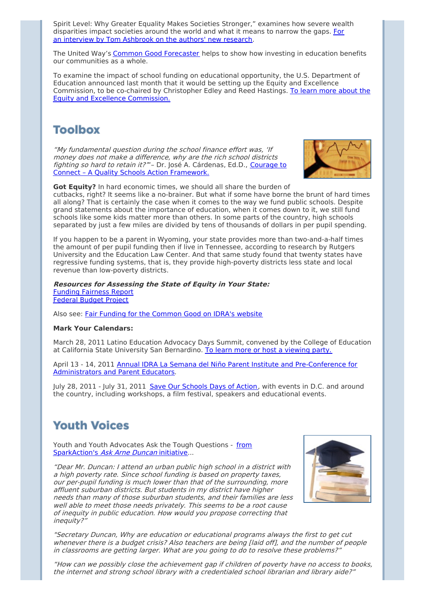Spirit Level: Why Greater Equality Makes Societies Stronger," examines how severe wealth [disparities](http://newsletter.impulsedevelopment.com/t/r/l/jlyudkt/l/o/) impact societies around the world and what it means to narrow the gaps. For an interview by Tom Ashbrook on the authors' new research.

The United Way's Common Good [Forecaster](http://newsletter.impulsedevelopment.com/t/r/l/jlyudkt/l/b/) helps to show how investing in education benefits our communities as a whole.

To examine the impact of school funding on educational opportunity, the U.S. Department of Education announced last month that it would be setting up the Equity and Excellence [Commission,](http://newsletter.impulsedevelopment.com/t/r/l/jlyudkt/l/n/) to be co-chaired by Christopher Edley and Reed Hastings. To learn more about the Equity and Excellence Commission.

# **Toolbox**

"My fundamental question during the school finance effort was, 'If money does not make <sup>a</sup> difference, why are the rich school districts fighting so hard to retain it?"- Dr. José A. Cárdenas, Ed.D., Courage to Connect – A Quality Schools Action [Framework.](http://newsletter.impulsedevelopment.com/t/r/l/jlyudkt/l/p/)



**Got Equity?** In hard economic times, we should all share the burden of

cutbacks, right? It seems like a no-brainer. But what if some have borne the brunt of hard times all along? That is certainly the case when it comes to the way we fund public schools. Despite grand statements about the importance of education, when it comes down to it, we still fund schools like some kids matter more than others. In some parts of the country, high schools separated by just a few miles are divided by tens of thousands of dollars in per pupil spending.

If you happen to be a parent in Wyoming, your state provides more than two-and-a-half times the amount of per pupil funding then if live in Tennessee, according to research by Rutgers University and the Education Law Center. And that same study found that twenty states have regressive funding systems, that is, they provide high-poverty districts less state and local revenue than low-poverty districts.

#### **Resources for Assessing the State of Equity in Your State:** Funding [Fairness](http://newsletter.impulsedevelopment.com/t/r/l/jlyudkt/l/x/) Report [Federal](http://newsletter.impulsedevelopment.com/t/r/l/jlyudkt/l/m/) Budget Project

Also see: Fair Funding for the [Common](http://newsletter.impulsedevelopment.com/t/r/l/jlyudkt/l/c/) Good on IDRA's website

### **Mark Your Calendars:**

March 28, 2011 Latino Education Advocacy Days Summit, convened by the College of Education at California State University San Bernardino. To learn more or host a [viewing](http://newsletter.impulsedevelopment.com/t/r/l/jlyudkt/l/q/) party.

April 13 - 14, 2011 Annual IDRA La Semana del Niño Parent Institute and [Pre-Conference](http://newsletter.impulsedevelopment.com/t/r/l/jlyudkt/l/a/) for Administrators and Parent Educators.

July 28, 2011 - July 31, 2011 Save Our [Schools](http://newsletter.impulsedevelopment.com/t/r/l/jlyudkt/l/f/) Days of Action, with events in D.C. and around the country, including workshops, a film festival, speakers and educational events.

# **Youth Voices**

Youth and Youth Advocates Ask the Tough Questions - from [SparkAction's](http://newsletter.impulsedevelopment.com/t/r/l/jlyudkt/l/z/) Ask Arne Duncan initiative...

"Dear Mr. Duncan: I attend an urban public high school in <sup>a</sup> district with <sup>a</sup> high poverty rate. Since school funding is based on property taxes, our per-pupil funding is much lower than that of the surrounding, more affluent suburban districts. But students in my district have higher needs than many of those suburban students, and their families are less well able to meet those needs privately. This seems to be <sup>a</sup> root cause of inequity in public education. How would you propose correcting that inequity?'



"Secretary Duncan, Why are education or educational programs always the first to get cut whenever there is <sup>a</sup> budget crisis? Also teachers are being [laid off], and the number of people in classrooms are getting larger. What are you going to do to resolve these problems?"

"How can we possibly close the achievement gap if children of poverty have no access to books, the internet and strong school library with <sup>a</sup> credentialed school librarian and library aide?"